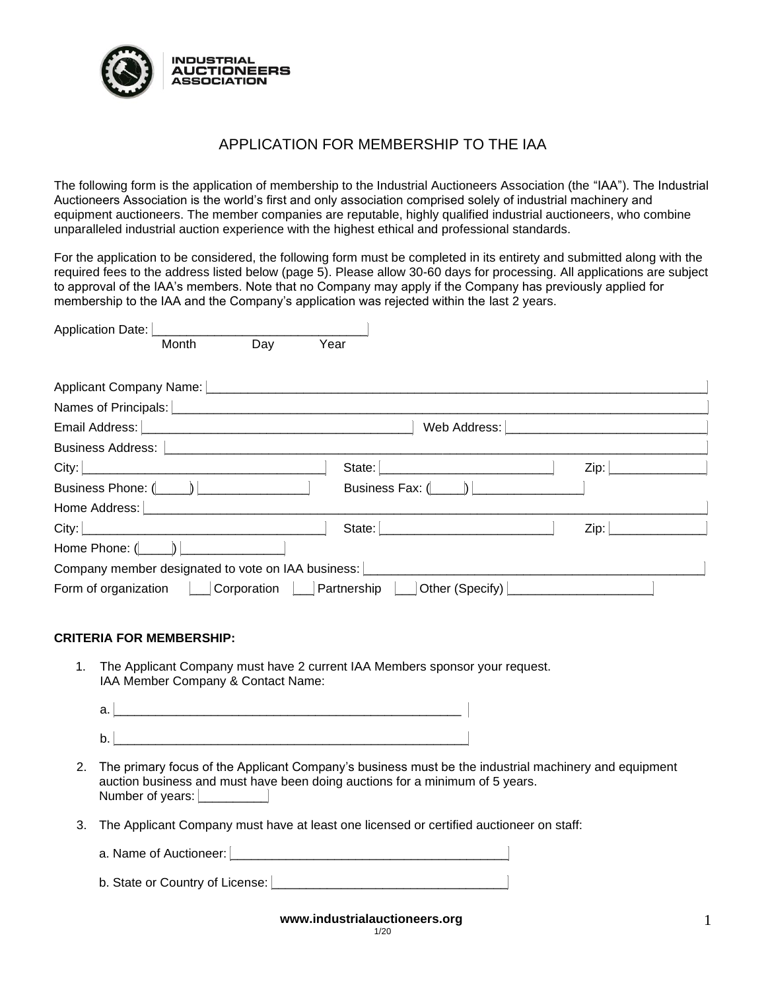

# APPLICATION FOR MEMBERSHIP TO THE IAA

The following form is the application of membership to the Industrial Auctioneers Association (the "IAA"). The Industrial Auctioneers Association is the world's first and only association comprised solely of industrial machinery and equipment auctioneers. The member companies are reputable, highly qualified industrial auctioneers, who combine unparalleled industrial auction experience with the highest ethical and professional standards.

For the application to be considered, the following form must be completed in its entirety and submitted along with the required fees to the address listed below (page 5). Please allow 30-60 days for processing. All applications are subject to approval of the IAA's members. Note that no Company may apply if the Company has previously applied for membership to the IAA and the Company's application was rejected within the last 2 years.

| Application Date: [                                                                                                                                                                                                                               |                 |             |             |                           |      |
|---------------------------------------------------------------------------------------------------------------------------------------------------------------------------------------------------------------------------------------------------|-----------------|-------------|-------------|---------------------------|------|
|                                                                                                                                                                                                                                                   | Month           | Day         | Year        |                           |      |
|                                                                                                                                                                                                                                                   |                 |             |             |                           |      |
|                                                                                                                                                                                                                                                   |                 |             |             |                           |      |
| Email Address: No. 1996. The Contract of the Contract of the Contract of the Contract of the Contract of the Contract of the Contract of the Contract of the Contract of the Contract of the Contract of the Contract of the C                    |                 |             |             | Web Address:              |      |
| Business Address:   <b>Manual Address</b>   <b>Manual Address</b>   <b>Manual Address</b>   <b>Manual Address   Manual Address</b>   Manual Address   Manual Address   Manual Address   Manual Address   Manual Address   Manual Address   Manual |                 |             |             |                           |      |
|                                                                                                                                                                                                                                                   |                 |             |             | State:                    | Zip: |
| Business Phone: ( )                                                                                                                                                                                                                               |                 |             |             | Business Fax: $($ $)$ $ $ |      |
|                                                                                                                                                                                                                                                   |                 |             |             |                           |      |
|                                                                                                                                                                                                                                                   |                 |             |             | State: No. 1996           | Zip: |
| Home Phone: $($ $)$                                                                                                                                                                                                                               |                 |             |             |                           |      |
| Company member designated to vote on IAA business:                                                                                                                                                                                                |                 |             |             |                           |      |
| Form of organization                                                                                                                                                                                                                              | <b>Contract</b> | Corporation | Partnership | Other (Specify)           |      |

### **CRITERIA FOR MEMBERSHIP:**

1. The Applicant Company must have 2 current IAA Members sponsor your request. IAA Member Company & Contact Name:

| ີ |  |
|---|--|
|   |  |
| ~ |  |

- 2. The primary focus of the Applicant Company's business must be the industrial machinery and equipment auction business and must have been doing auctions for a minimum of 5 years. Number of years:
- 3. The Applicant Company must have at least one licensed or certified auctioneer on staff:

| a. Name of Auctioneer: |  |
|------------------------|--|
|                        |  |

| b. State or Country of License: |  |
|---------------------------------|--|
|                                 |  |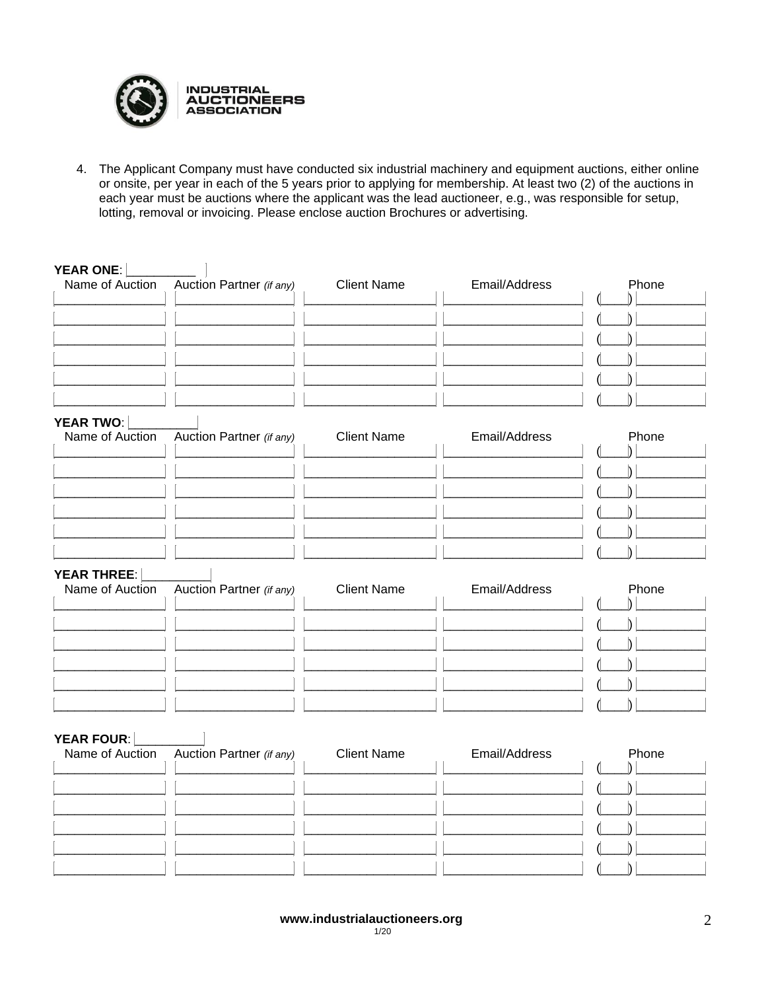

 $\mathbb{L}$ 

 $\overline{\phantom{a}}$ 

 $\begin{array}{c} \hline \end{array}$ 

 $\blacksquare$ 

4. The Applicant Company must have conducted six industrial machinery and equipment auctions, either online or onsite, per year in each of the 5 years prior to applying for membership. At least two (2) of the auctions in each year must be auctions where the applicant was the lead auctioneer, e.g., was responsible for setup, lotting, removal or invoicing. Please enclose auction Brochures or advertising.

## YEAR ONE I

| Name of Auction Auction Partner (if any) | <b>Client Name</b> | Email/Address | Phone |
|------------------------------------------|--------------------|---------------|-------|
|                                          |                    |               |       |
|                                          |                    |               |       |
|                                          |                    |               |       |
|                                          |                    |               |       |
|                                          |                    |               |       |
|                                          |                    |               |       |

## YEAR TWO:

| ---------- | Name of Auction Auction Partner (if any) | <b>Client Name</b> | Email/Address | Phone |
|------------|------------------------------------------|--------------------|---------------|-------|
|            |                                          |                    |               |       |
|            |                                          |                    |               |       |
|            |                                          |                    |               |       |
|            |                                          |                    |               |       |
|            |                                          |                    |               |       |
|            |                                          |                    |               |       |

#### YEAR THREE:

| Name of Auction Auction Partner (if any) | <b>Client Name</b> | Email/Address | Phone |
|------------------------------------------|--------------------|---------------|-------|
|                                          |                    |               |       |
|                                          |                    |               |       |
|                                          |                    |               |       |
|                                          |                    |               |       |
|                                          |                    |               |       |
|                                          |                    |               |       |

## YEAR FOUR:

| Name of Auction Auction Partner (if any) | <b>Client Name</b> | Email/Address | Phone |
|------------------------------------------|--------------------|---------------|-------|
|                                          |                    |               |       |
|                                          |                    |               |       |
|                                          |                    |               |       |
|                                          |                    |               |       |
|                                          |                    |               |       |
|                                          |                    |               |       |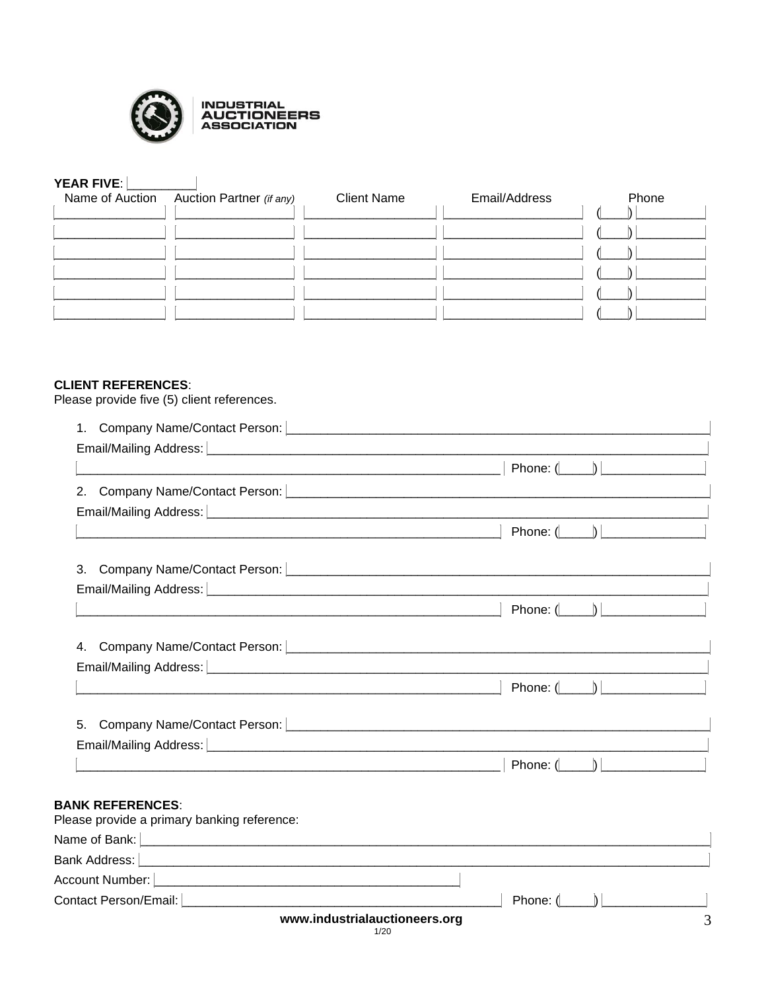

# YEAR FIVE: **WEAR**

| Name of Auction Auction Partner (if any) | <b>Client Name</b> | Email/Address | Phone |
|------------------------------------------|--------------------|---------------|-------|
|                                          |                    |               |       |
|                                          |                    |               |       |
|                                          |                    |               |       |
|                                          |                    |               |       |
|                                          |                    |               |       |
|                                          |                    |               |       |
|                                          |                    |               |       |

## **CLIENT REFERENCES:**

Please provide five (5) client references.

| 1. Company Name/Contact Person: <b>company of the Contract Person of the Contract Oriental Contract Person:</b>                                                                                                                       |                    |  |
|---------------------------------------------------------------------------------------------------------------------------------------------------------------------------------------------------------------------------------------|--------------------|--|
|                                                                                                                                                                                                                                       |                    |  |
|                                                                                                                                                                                                                                       |                    |  |
|                                                                                                                                                                                                                                       |                    |  |
| Email/Mailing Address: [ <b>with the contract of the contract of the contract of the contract of the contract of the contract of the contract of the contract of the contract of the contract of the contract of the contract of </b> |                    |  |
|                                                                                                                                                                                                                                       |                    |  |
| 3. Company Name/Contact Person: <u>Company Company of Company Adverses</u> Company Name/Contact Person: Company of Company of Company of Company of Company of Company of Company of Company of Company of Company of Company of Co   |                    |  |
| Email/Mailing Address: [ <b>www.community.community.community.inc.</b> community.community.com                                                                                                                                        |                    |  |
|                                                                                                                                                                                                                                       |                    |  |
|                                                                                                                                                                                                                                       |                    |  |
|                                                                                                                                                                                                                                       |                    |  |
|                                                                                                                                                                                                                                       |                    |  |
|                                                                                                                                                                                                                                       |                    |  |
|                                                                                                                                                                                                                                       |                    |  |
|                                                                                                                                                                                                                                       | Phone: $(\_\_)$    |  |
| <b>BANK REFERENCES:</b><br>Please provide a primary banking reference:                                                                                                                                                                |                    |  |
| Name of Bank: <u>December 2008 and 2008 and 2008 and 2008 and 2008 and 2008 and 2008 and 2008 and 2008 and 2008 and 2008 and 2008 and 2008 and 2008 and 2008 and 2008 and 2008 and 2008 and 2008 and 2008 and 2008 and 2008 and </u>  |                    |  |
|                                                                                                                                                                                                                                       |                    |  |
|                                                                                                                                                                                                                                       |                    |  |
| Contact Person/Email: New York 1999 and the Contact Person/Email:                                                                                                                                                                     | Phone: $(\Box \ )$ |  |
| www.industrialauctioneers.org                                                                                                                                                                                                         |                    |  |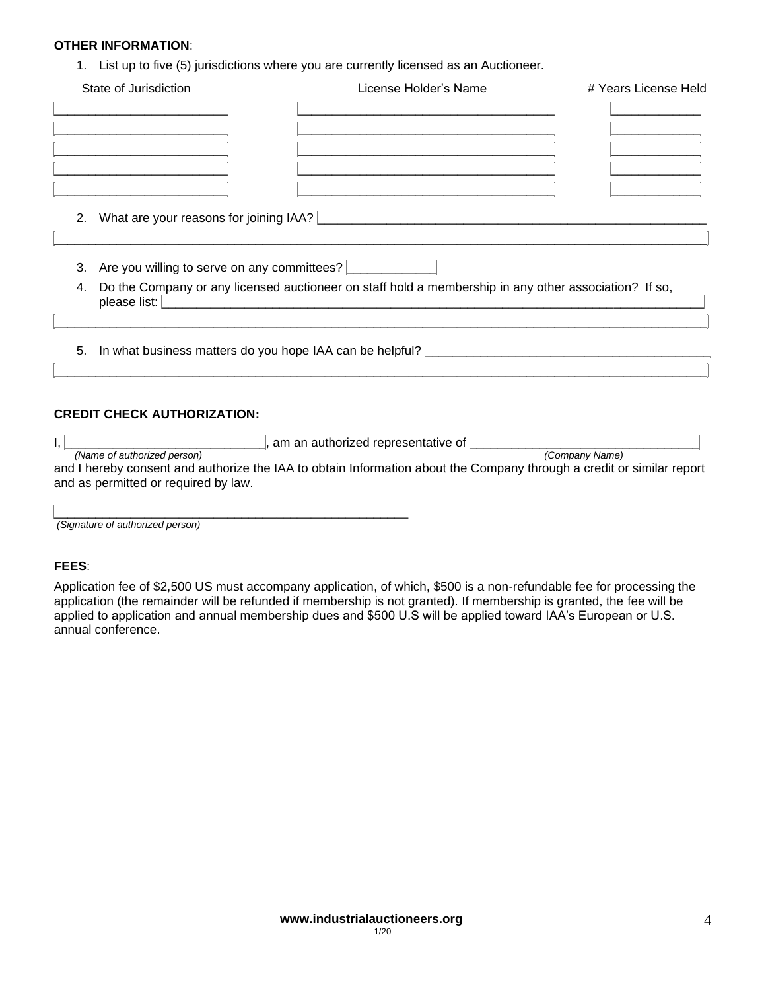### **OTHER INFORMATION**:

1. List up to five (5) jurisdictions where you are currently licensed as an Auctioneer.

| State of Jurisdiction                          | License Holder's Name                                                                                                    | # Years License Held |
|------------------------------------------------|--------------------------------------------------------------------------------------------------------------------------|----------------------|
|                                                |                                                                                                                          |                      |
|                                                |                                                                                                                          |                      |
|                                                |                                                                                                                          |                      |
|                                                |                                                                                                                          |                      |
|                                                | 2. What are your reasons for joining IAA?                                                                                |                      |
| 3. Are you willing to serve on any committees? |                                                                                                                          |                      |
|                                                | 4. Do the Company or any licensed auctioneer on staff hold a membership in any other association? If so,<br>please list: |                      |
|                                                | 5. In what business matters do you hope IAA can be helpful?                                                              |                      |
|                                                |                                                                                                                          |                      |

# **CREDIT CHECK AUTHORIZATION:**

|                                      | , am an authorized representative of |                                                                                                                       |
|--------------------------------------|--------------------------------------|-----------------------------------------------------------------------------------------------------------------------|
| (Name of authorized person)          |                                      | (Company Name)                                                                                                        |
|                                      |                                      | and I hereby consent and authorize the IAA to obtain Information about the Company through a credit or similar report |
| and as permitted or required by law. |                                      |                                                                                                                       |

| (Signature of authorized person) |  |  |
|----------------------------------|--|--|

## **FEES**:

Application fee of \$2,500 US must accompany application, of which, \$500 is a non-refundable fee for processing the application (the remainder will be refunded if membership is not granted). If membership is granted, the fee will be applied to application and annual membership dues and \$500 U.S will be applied toward IAA's European or U.S. annual conference.